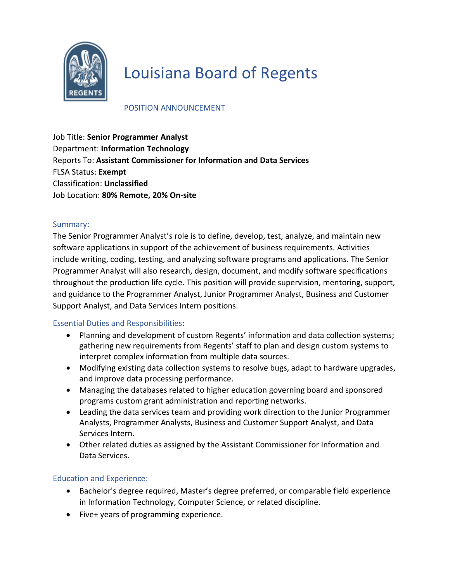

# Louisiana Board of Regents

### POSITION ANNOUNCEMENT

Job Title: **Senior Programmer Analyst**  Department: **Information Technology** Reports To: **Assistant Commissioner for Information and Data Services** FLSA Status: **Exempt** Classification: **Unclassified** Job Location: **80% Remote, 20% On-site**

#### Summary:

The Senior Programmer Analyst's role is to define, develop, test, analyze, and maintain new software applications in support of the achievement of business requirements. Activities include writing, coding, testing, and analyzing software programs and applications. The Senior Programmer Analyst will also research, design, document, and modify software specifications throughout the production life cycle. This position will provide supervision, mentoring, support, and guidance to the Programmer Analyst, Junior Programmer Analyst, Business and Customer Support Analyst, and Data Services Intern positions.

#### Essential Duties and Responsibilities:

- Planning and development of custom Regents' information and data collection systems; gathering new requirements from Regents' staff to plan and design custom systems to interpret complex information from multiple data sources.
- Modifying existing data collection systems to resolve bugs, adapt to hardware upgrades, and improve data processing performance.
- Managing the databases related to higher education governing board and sponsored programs custom grant administration and reporting networks.
- Leading the data services team and providing work direction to the Junior Programmer Analysts, Programmer Analysts, Business and Customer Support Analyst, and Data Services Intern.
- Other related duties as assigned by the Assistant Commissioner for Information and Data Services.

## Education and Experience:

- Bachelor's degree required, Master's degree preferred, or comparable field experience in Information Technology, Computer Science, or related discipline.
- Five+ years of programming experience.